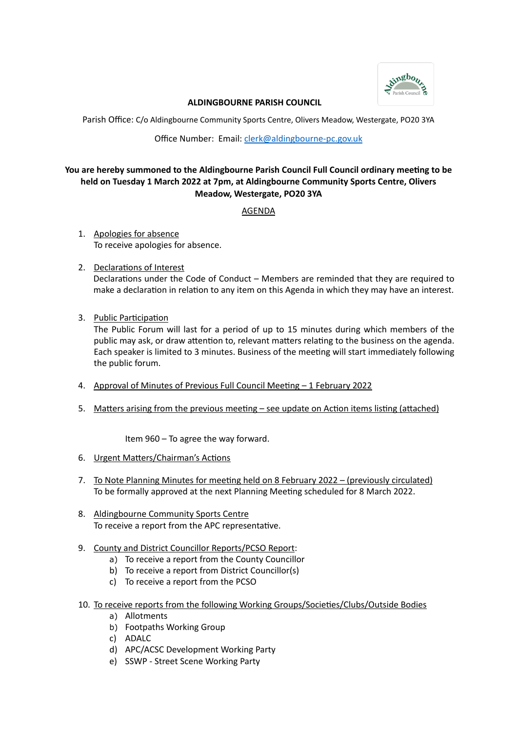

## **ALDINGBOURNE PARISH COUNCIL**

Parish Office: C/o Aldingbourne Community Sports Centre, Olivers Meadow, Westergate, PO20 3YA

Office Number: Email: [clerk@aldingbourne-pc.gov.uk](mailto:clerk@aldingbourne-pc.gov.uk)

# **You are hereby summoned to the Aldingbourne Parish Council Full Council ordinary meeting to be held on Tuesday 1 March 2022 at 7pm, at Aldingbourne Community Sports Centre, Olivers Meadow, Westergate, PO20 3YA**

AGENDA

- 1. Apologies for absence To receive apologies for absence.
- 2. Declarations of Interest Declarations under the Code of Conduct – Members are reminded that they are required to make a declaration in relation to any item on this Agenda in which they may have an interest.
- 3. Public Participation

The Public Forum will last for a period of up to 15 minutes during which members of the public may ask, or draw attention to, relevant matters relating to the business on the agenda. Each speaker is limited to 3 minutes. Business of the meeting will start immediately following the public forum.

- 4. Approval of Minutes of Previous Full Council Meeting 1 February 2022
- 5. Matters arising from the previous meeting see update on Action items listing (attached)

Item 960 – To agree the way forward.

- 6. Urgent Matters/Chairman's Actions
- 7. To Note Planning Minutes for meeting held on 8 February 2022 (previously circulated) To be formally approved at the next Planning Meeting scheduled for 8 March 2022.
- 8. Aldingbourne Community Sports Centre To receive a report from the APC representative.
- 9. County and District Councillor Reports/PCSO Report:
	- a) To receive a report from the County Councillor
	- b) To receive a report from District Councillor(s)
	- c) To receive a report from the PCSO
- 10. To receive reports from the following Working Groups/Societies/Clubs/Outside Bodies
	- a) Allotments
	- b) Footpaths Working Group
	- c) ADALC
	- d) APC/ACSC Development Working Party
	- e) SSWP Street Scene Working Party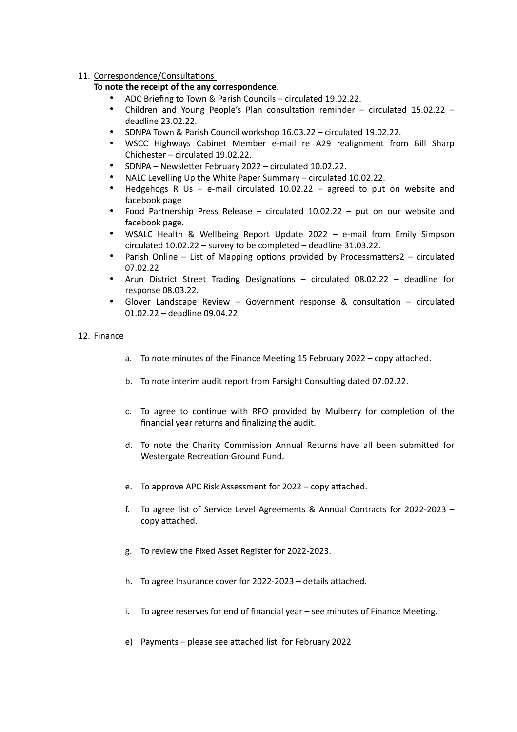# 11. Correspondence/Consultations

# **To note the receipt of the any correspondence**.

- ADC Briefing to Town & Parish Councils circulated 19.02.22.
- Children and Young People's Plan consultation reminder circulated 15.02.22 deadline 23.02.22.
- SDNPA Town & Parish Council workshop 16.03.22 circulated 19.02.22.
- WSCC Highways Cabinet Member e-mail re A29 realignment from Bill Sharp Chichester – circulated 19.02.22.
- SDNPA Newsletter February 2022 circulated 10.02.22.
- NALC Levelling Up the White Paper Summary circulated 10.02.22.
- Hedgehogs R Us e-mail circulated  $10.02.22$  agreed to put on website and facebook page
- Food Partnership Press Release circulated 10.02.22 put on our website and facebook page.
- WSALC Health & Wellbeing Report Update 2022 e-mail from Emily Simpson circulated 10.02.22 – survey to be completed – deadline 31.03.22.
- Parish Online List of Mapping options provided by Processmatters2 circulated 07.02.22
- Arun District Street Trading Designations circulated 08.02.22 deadline for response 08.03.22.
- Glover Landscape Review Government response & consultation circulated 01.02.22 – deadline 09.04.22.

## 12. Finance

- a. To note minutes of the Finance Meeting 15 February 2022 copy attached.
- b. To note interim audit report from Farsight Consulting dated 07.02.22.
- c. To agree to continue with RFO provided by Mulberry for completion of the financial year returns and finalizing the audit.
- d. To note the Charity Commission Annual Returns have all been submitted for Westergate Recreation Ground Fund.
- e. To approve APC Risk Assessment for 2022 copy attached.
- f. To agree list of Service Level Agreements & Annual Contracts for 2022-2023 copy attached.
- g. To review the Fixed Asset Register for 2022-2023.
- h. To agree Insurance cover for 2022-2023 details attached.
- i. To agree reserves for end of financial year see minutes of Finance Meeting.
- e) Payments please see attached list for February 2022